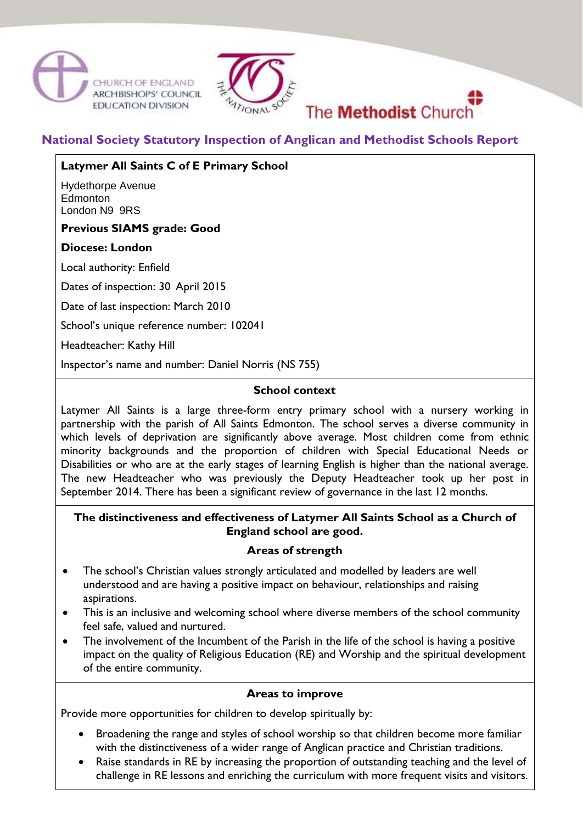





# **National Society Statutory Inspection of Anglican and Methodist Schools Report**

# **Latymer All Saints C of E Primary School**

Hydethorpe Avenue Edmonton London N9 9RS

# **Previous SIAMS grade: Good**

# **Diocese: London**

Local authority: Enfield

Dates of inspection: 30 April 2015

Date of last inspection: March 2010

School's unique reference number: 102041

Headteacher: Kathy Hill

Inspector's name and number: Daniel Norris (NS 755)

#### **School context**

Latymer All Saints is a large three-form entry primary school with a nursery working in partnership with the parish of All Saints Edmonton. The school serves a diverse community in which levels of deprivation are significantly above average. Most children come from ethnic minority backgrounds and the proportion of children with Special Educational Needs or Disabilities or who are at the early stages of learning English is higher than the national average. The new Headteacher who was previously the Deputy Headteacher took up her post in September 2014. There has been a significant review of governance in the last 12 months.

### **The distinctiveness and effectiveness of Latymer All Saints School as a Church of England school are good.**

### **Areas of strength**

- The school's Christian values strongly articulated and modelled by leaders are well understood and are having a positive impact on behaviour, relationships and raising aspirations.
- This is an inclusive and welcoming school where diverse members of the school community feel safe, valued and nurtured.
- The involvement of the Incumbent of the Parish in the life of the school is having a positive impact on the quality of Religious Education (RE) and Worship and the spiritual development of the entire community.

### **Areas to improve**

Provide more opportunities for children to develop spiritually by:

- Broadening the range and styles of school worship so that children become more familiar with the distinctiveness of a wider range of Anglican practice and Christian traditions.
- Raise standards in RE by increasing the proportion of outstanding teaching and the level of challenge in RE lessons and enriching the curriculum with more frequent visits and visitors.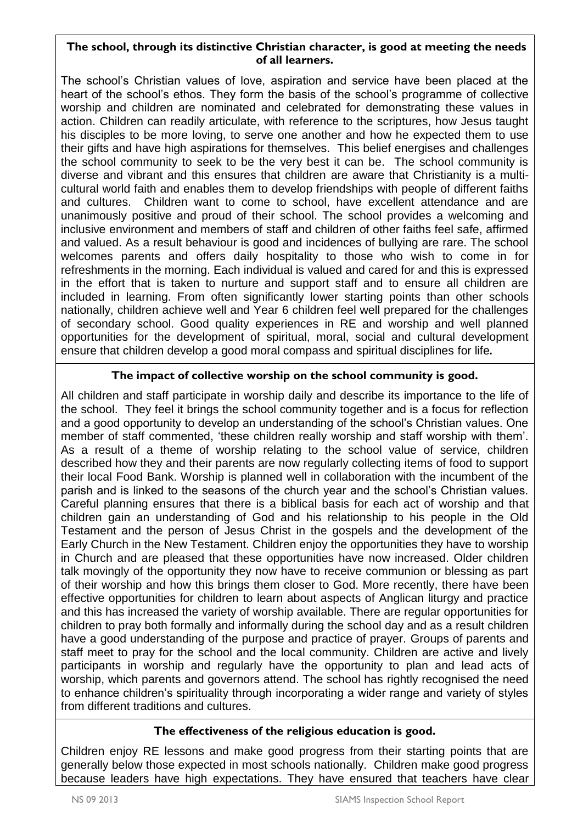## **The school, through its distinctive Christian character, is good at meeting the needs of all learners.**

The school's Christian values of love, aspiration and service have been placed at the heart of the school's ethos. They form the basis of the school's programme of collective worship and children are nominated and celebrated for demonstrating these values in action. Children can readily articulate, with reference to the scriptures, how Jesus taught his disciples to be more loving, to serve one another and how he expected them to use their gifts and have high aspirations for themselves. This belief energises and challenges the school community to seek to be the very best it can be. The school community is diverse and vibrant and this ensures that children are aware that Christianity is a multicultural world faith and enables them to develop friendships with people of different faiths and cultures. Children want to come to school, have excellent attendance and are unanimously positive and proud of their school. The school provides a welcoming and inclusive environment and members of staff and children of other faiths feel safe, affirmed and valued. As a result behaviour is good and incidences of bullying are rare. The school welcomes parents and offers daily hospitality to those who wish to come in for refreshments in the morning. Each individual is valued and cared for and this is expressed in the effort that is taken to nurture and support staff and to ensure all children are included in learning. From often significantly lower starting points than other schools nationally, children achieve well and Year 6 children feel well prepared for the challenges of secondary school. Good quality experiences in RE and worship and well planned opportunities for the development of spiritual, moral, social and cultural development ensure that children develop a good moral compass and spiritual disciplines for life*.* 

# **The impact of collective worship on the school community is good.**

All children and staff participate in worship daily and describe its importance to the life of the school. They feel it brings the school community together and is a focus for reflection and a good opportunity to develop an understanding of the school's Christian values. One member of staff commented, 'these children really worship and staff worship with them'. As a result of a theme of worship relating to the school value of service, children described how they and their parents are now regularly collecting items of food to support their local Food Bank. Worship is planned well in collaboration with the incumbent of the parish and is linked to the seasons of the church year and the school's Christian values. Careful planning ensures that there is a biblical basis for each act of worship and that children gain an understanding of God and his relationship to his people in the Old Testament and the person of Jesus Christ in the gospels and the development of the Early Church in the New Testament. Children enjoy the opportunities they have to worship in Church and are pleased that these opportunities have now increased. Older children talk movingly of the opportunity they now have to receive communion or blessing as part of their worship and how this brings them closer to God. More recently, there have been effective opportunities for children to learn about aspects of Anglican liturgy and practice and this has increased the variety of worship available. There are regular opportunities for children to pray both formally and informally during the school day and as a result children have a good understanding of the purpose and practice of prayer. Groups of parents and staff meet to pray for the school and the local community. Children are active and lively participants in worship and regularly have the opportunity to plan and lead acts of worship, which parents and governors attend. The school has rightly recognised the need to enhance children's spirituality through incorporating a wider range and variety of styles from different traditions and cultures.

### **The effectiveness of the religious education is good.**

Children enjoy RE lessons and make good progress from their starting points that are generally below those expected in most schools nationally. Children make good progress because leaders have high expectations. They have ensured that teachers have clear